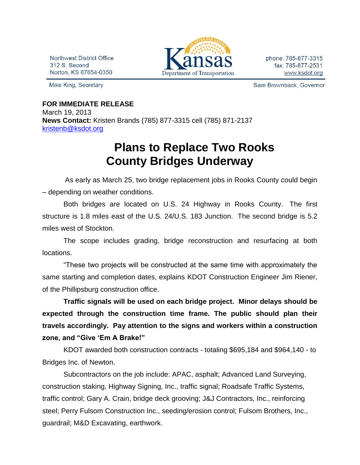Northwest District Office 312 S. Second Norton, KS 67654-0350

Mike King, Secretary



phone: 785-877-3315 fax: 785-877-2531 www.ksdot.org

Sam Brownback, Governor

## **FOR IMMEDIATE RELEASE**

March 19, 2013 **News Contact:** Kristen Brands (785) 877-3315 cell (785) 871-2137 [kristenb@ksdot.org](mailto:kristenb@ksdot.org)

## **Plans to Replace Two Rooks County Bridges Underway**

 As early as March 25, two bridge replacement jobs in Rooks County could begin – depending on weather conditions.

Both bridges are located on U.S. 24 Highway in Rooks County. The first structure is 1.8 miles east of the U.S. 24/U.S. 183 Junction. The second bridge is 5.2 miles west of Stockton.

The scope includes grading, bridge reconstruction and resurfacing at both locations.

"These two projects will be constructed at the same time with approximately the same starting and completion dates, explains KDOT Construction Engineer Jim Riener, of the Phillipsburg construction office.

**Traffic signals will be used on each bridge project. Minor delays should be expected through the construction time frame. The public should plan their travels accordingly. Pay attention to the signs and workers within a construction zone, and "Give 'Em A Brake!"**

KDOT awarded both construction contracts - totaling \$695,184 and \$964,140 - to Bridges Inc. of Newton.

Subcontractors on the job include: APAC, asphalt; Advanced Land Surveying, construction staking, Highway Signing, Inc., traffic signal; Roadsafe Traffic Systems, traffic control; Gary A. Crain, bridge deck grooving; J&J Contractors, Inc., reinforcing steel; Perry Fulsom Construction Inc., seeding/erosion control; Fulsom Brothers, Inc., guardrail; M&D Excavating, earthwork.